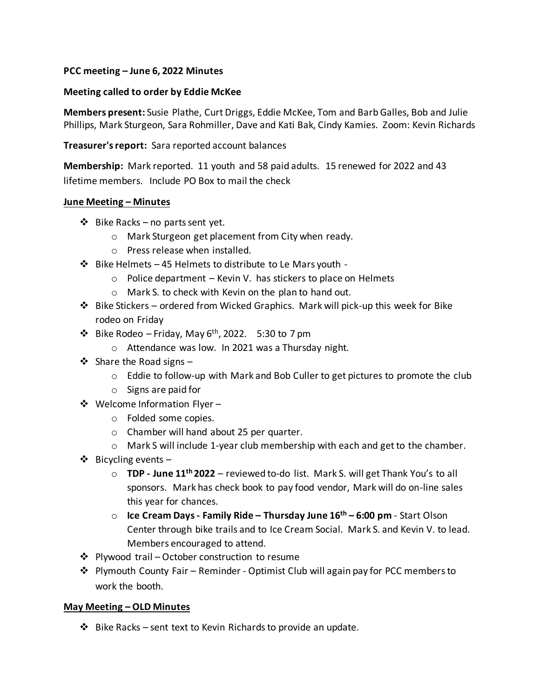# **PCC meeting – June 6, 2022 Minutes**

## **Meeting called to order by Eddie McKee**

**Members present:** Susie Plathe, Curt Driggs, Eddie McKee, Tom and Barb Galles, Bob and Julie Phillips, Mark Sturgeon, Sara Rohmiller, Dave and Kati Bak, Cindy Kamies. Zoom: Kevin Richards

## **Treasurer's report:** Sara reported account balances

**Membership:** Mark reported. 11 youth and 58 paid adults. 15 renewed for 2022 and 43 lifetime members. Include PO Box to mail the check

### **June Meeting – Minutes**

- ❖ Bike Racks no parts sent yet.
	- o Mark Sturgeon get placement from City when ready.
	- o Press release when installed.
- $\cdot \cdot$  Bike Helmets 45 Helmets to distribute to Le Mars youth -
	- $\circ$  Police department Kevin V. has stickers to place on Helmets
	- o Mark S. to check with Kevin on the plan to hand out.
- ❖ Bike Stickers ordered from Wicked Graphics. Mark will pick-up this week for Bike rodeo on Friday
- $\cdot$  Bike Rodeo Friday, May 6<sup>th</sup>, 2022. 5:30 to 7 pm
	- o Attendance was low. In 2021 was a Thursday night.
- ❖ Share the Road signs
	- $\circ$  Eddie to follow-up with Mark and Bob Culler to get pictures to promote the club
	- o Signs are paid for
- ❖ Welcome Information Flyer
	- o Folded some copies.
	- o Chamber will hand about 25 per quarter.
	- o Mark S will include 1-year club membership with each and get to the chamber.
- ❖ Bicycling events
	- o **TDP - June 11th 2022** reviewed to-do list. Mark S. will get Thank You's to all sponsors. Mark has check book to pay food vendor, Mark will do on-line sales this year for chances.
	- o **Ice Cream Days - Family Ride – Thursday June 16th – 6:00 pm**  Start Olson Center through bike trails and to Ice Cream Social. Mark S. and Kevin V. to lead. Members encouraged to attend.
- ❖ Plywood trail October construction to resume
- ❖ Plymouth County Fair Reminder Optimist Club will again pay for PCC members to work the booth.

## **May Meeting – OLD Minutes**

❖ Bike Racks – sent text to Kevin Richards to provide an update.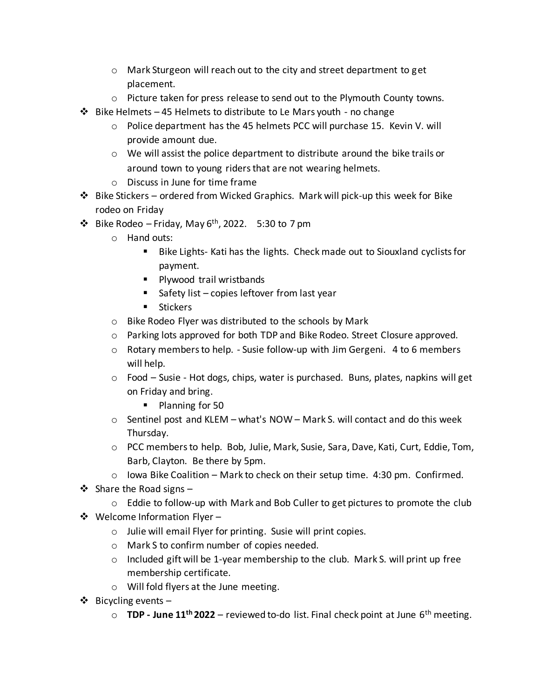- o Mark Sturgeon will reach out to the city and street department to get placement.
- $\circ$  Picture taken for press release to send out to the Plymouth County towns.
- $\cdot \cdot$  Bike Helmets 45 Helmets to distribute to Le Mars youth no change
	- o Police department has the 45 helmets PCC will purchase 15. Kevin V. will provide amount due.
	- $\circ$  We will assist the police department to distribute around the bike trails or around town to young riders that are not wearing helmets.
	- o Discuss in June for time frame
- ❖ Bike Stickers ordered from Wicked Graphics. Mark will pick-up this week for Bike rodeo on Friday
- $\cdot$  Bike Rodeo Friday, May 6<sup>th</sup>, 2022. 5:30 to 7 pm
	- o Hand outs:
		- Bike Lights- Kati has the lights. Check made out to Siouxland cyclists for payment.
		- Plywood trail wristbands
		- Safety list copies leftover from last year
		- Stickers
	- o Bike Rodeo Flyer was distributed to the schools by Mark
	- o Parking lots approved for both TDP and Bike Rodeo. Street Closure approved.
	- o Rotary members to help. Susie follow-up with Jim Gergeni. 4 to 6 members will help.
	- o Food Susie Hot dogs, chips, water is purchased. Buns, plates, napkins will get on Friday and bring.
		- Planning for 50
	- $\circ$  Sentinel post and KLEM what's NOW Mark S. will contact and do this week Thursday.
	- o PCC members to help. Bob, Julie, Mark, Susie, Sara, Dave, Kati, Curt, Eddie, Tom, Barb, Clayton. Be there by 5pm.
	- $\circ$  Iowa Bike Coalition Mark to check on their setup time. 4:30 pm. Confirmed.
- ❖ Share the Road signs
	- o Eddie to follow-up with Mark and Bob Culler to get pictures to promote the club
- ❖ Welcome Information Flyer
	- o Julie will email Flyer for printing. Susie will print copies.
	- o Mark S to confirm number of copies needed.
	- $\circ$  Included gift will be 1-year membership to the club. Mark S. will print up free membership certificate.
	- o Will fold flyers at the June meeting.
- $\dots$  Bicycling events
	- o **TDP - June 11th 2022** reviewed to-do list. Final check point at June 6th meeting.